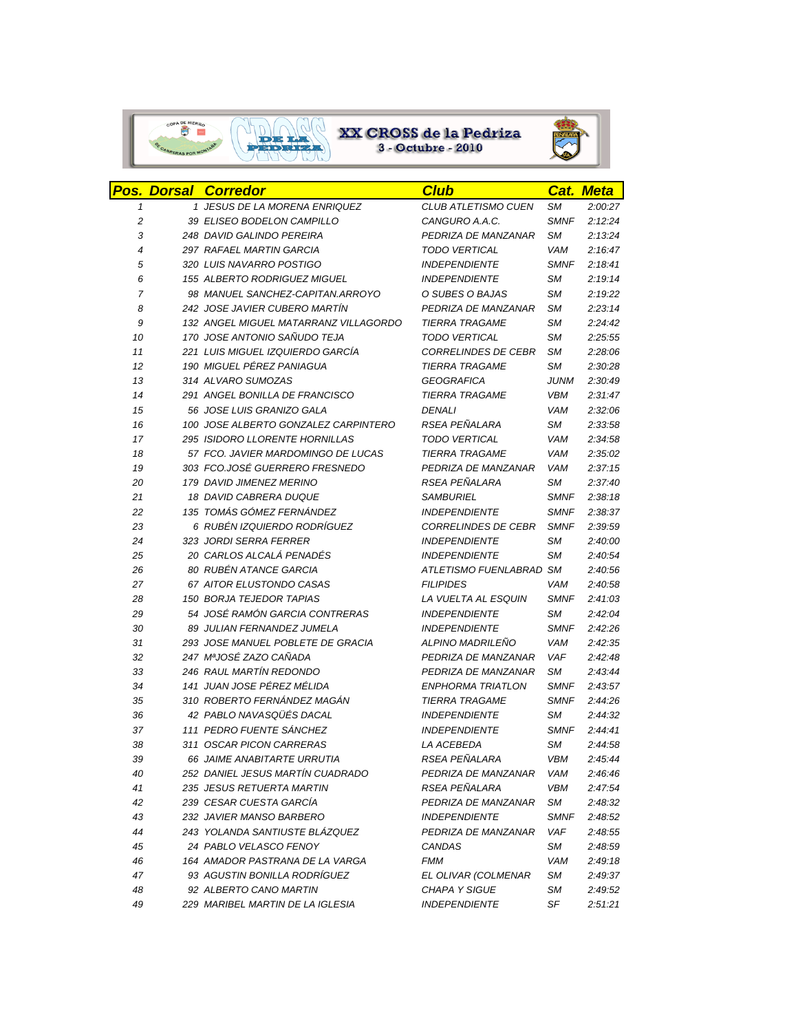

## $\begin{array}{|c|c|c|c|}\hline \text{op.} & \text{ex} & \text{ex} & \text{ex} & \text{de la Pedriza} \\ \hline \end{array}$ <br>3 - Octubre - 2010



|                | <b>Pos. Dorsal Corredor</b>           | <b>Club</b>                |             | <b>Cat. Meta</b> |
|----------------|---------------------------------------|----------------------------|-------------|------------------|
| 1              | 1 JESUS DE LA MORENA ENRIQUEZ         | CLUB ATLETISMO CUEN        | SМ          | 2:00:27          |
| 2              | 39 ELISEO BODELON CAMPILLO            | CANGURO A.A.C.             | <b>SMNF</b> | 2:12:24          |
| 3              | 248 DAVID GALINDO PEREIRA             | PEDRIZA DE MANZANAR        | SМ          | 2:13:24          |
| $\overline{4}$ | <b>297 RAFAEL MARTIN GARCIA</b>       | <b>TODO VERTICAL</b>       | <b>VAM</b>  | 2:16:47          |
| 5              | 320 LUIS NAVARRO POSTIGO              | <b>INDEPENDIENTE</b>       | <b>SMNF</b> | 2:18:41          |
| 6              | 155 ALBERTO RODRIGUEZ MIGUEL          | <b>INDEPENDIENTE</b>       | SМ          | 2:19:14          |
| $\overline{7}$ | 98 MANUEL SANCHEZ-CAPITAN.ARROYO      | O SUBES O BAJAS            | SМ          | 2:19:22          |
| 8              | 242 JOSE JAVIER CUBERO MARTÍN         | PEDRIZA DE MANZANAR        | SМ          | 2:23:14          |
| 9              | 132 ANGEL MIGUEL MATARRANZ VILLAGORDO | <b>TIERRA TRAGAME</b>      | <b>SM</b>   | 2:24:42          |
| 10             | 170 JOSE ANTONIO SAÑUDO TEJA          | <b>TODO VERTICAL</b>       | <b>SM</b>   | 2:25:55          |
| 11             | 221 LUIS MIGUEL IZQUIERDO GARCÍA      | <b>CORRELINDES DE CEBR</b> | SМ          | 2:28:06          |
| 12             | 190 MIGUEL PÉREZ PANIAGUA             | <b>TIERRA TRAGAME</b>      | SМ          | 2:30:28          |
| 13             | 314 ALVARO SUMOZAS                    | <b>GEOGRAFICA</b>          | JUNM        | 2:30:49          |
| 14             | 291 ANGEL BONILLA DE FRANCISCO        | <b>TIERRA TRAGAME</b>      | <b>VBM</b>  | 2:31:47          |
| 15             | 56 JOSE LUIS GRANIZO GALA             | <b>DENALI</b>              | VAM         | 2:32:06          |
| 16             | 100 JOSE ALBERTO GONZALEZ CARPINTERO  | RSEA PEÑALARA              | SМ          | 2:33:58          |
| 17             | 295 ISIDORO LLORENTE HORNILLAS        | <b>TODO VERTICAL</b>       | VAM         | 2:34:58          |
| 18             | 57 FCO. JAVIER MARDOMINGO DE LUCAS    | <b>TIERRA TRAGAME</b>      | <b>VAM</b>  | 2:35:02          |
| 19             | 303 FCO.JOSÉ GUERRERO FRESNEDO        | PEDRIZA DE MANZANAR        | <b>VAM</b>  | 2:37:15          |
| 20             | 179 DAVID JIMENEZ MERINO              | RSEA PEÑALARA              | SМ          | 2:37:40          |
| 21             | 18 DAVID CABRERA DUQUE                | <b>SAMBURIEL</b>           | <b>SMNF</b> | 2:38:18          |
| 22             | 135 TOMÁS GÓMEZ FERNÁNDEZ             | <b>INDEPENDIENTE</b>       | <b>SMNF</b> | 2:38:37          |
| 23             | 6 RUBÉN IZQUIERDO RODRÍGUEZ           | <b>CORRELINDES DE CEBR</b> | <b>SMNF</b> | 2:39:59          |
| 24             | 323 JORDI SERRA FERRER                | <b>INDEPENDIENTE</b>       | SМ          | 2:40:00          |
| 25             | 20 CARLOS ALCALÁ PENADÉS              | <b>INDEPENDIENTE</b>       | SМ          | 2:40:54          |
| 26             | 80 RUBÉN ATANCE GARCIA                | ATLETISMO FUENLABRAD SM    |             | 2:40:56          |
| 27             | 67 AITOR ELUSTONDO CASAS              | <b>FILIPIDES</b>           | <b>VAM</b>  | 2:40:58          |
| 28             | <b>150 BORJA TEJEDOR TAPIAS</b>       | LA VUELTA AL ESQUIN        | <b>SMNF</b> | 2:41:03          |
| 29             | 54 JOSÉ RAMÓN GARCIA CONTRERAS        | <b>INDEPENDIENTE</b>       | SМ          | 2:42:04          |
| 30             | 89 JULIAN FERNANDEZ JUMELA            | <b>INDEPENDIENTE</b>       | <b>SMNF</b> | 2:42:26          |
| 31             | 293 JOSE MANUEL POBLETE DE GRACIA     | ALPINO MADRILEÑO           | VAM         | 2:42:35          |
| 32             | 247 MªJOSÉ ZAZO CAÑADA                | PEDRIZA DE MANZANAR        | <b>VAF</b>  | 2:42:48          |
| 33             | <b>246 RAUL MARTÍN REDONDO</b>        | PEDRIZA DE MANZANAR        | <b>SM</b>   | 2:43:44          |
| 34             | 141 JUAN JOSE PÉREZ MÉLIDA            | <b>ENPHORMA TRIATLON</b>   | <b>SMNF</b> | 2:43:57          |
| 35             | 310 ROBERTO FERNÁNDEZ MAGÁN           | <b>TIERRA TRAGAME</b>      | <b>SMNF</b> | 2:44:26          |
| 36             | 42 PABLO NAVASQÜÉS DACAL              | <b>INDEPENDIENTE</b>       | SМ          | 2:44:32          |
| 37             | 111 PEDRO FUENTE SÁNCHEZ              | <b>INDEPENDIENTE</b>       | <b>SMNF</b> | 2:44:41          |
| 38             | 311 OSCAR PICON CARRERAS              | LA ACEBEDA                 | SМ          | 2:44:58          |
| 39             | 66 JAIME ANABITARTE URRUTIA           | RSEA PEÑALARA              | <b>VBM</b>  | 2:45:44          |
| 40             | 252 DANIEL JESUS MARTÍN CUADRADO      | PEDRIZA DE MANZANAR        | VAM         | 2:46:46          |
| 41             | 235 JESUS RETUERTA MARTIN             | RSEA PEÑALARA              | <b>VBM</b>  | 2:47:54          |
| 42             | 239 CESAR CUESTA GARCIA               | PEDRIZA DE MANZANAR        | SМ          | 2:48:32          |
| 43             | 232 JAVIER MANSO BARBERO              | <b>INDEPENDIENTE</b>       | <b>SMNF</b> | 2:48:52          |
| 44             | 243 YOLANDA SANTIUSTE BLÁZQUEZ        | PEDRIZA DE MANZANAR        | VAF         | 2:48:55          |
| 45             | 24 PABLO VELASCO FENOY                | <b>CANDAS</b>              | SМ          | 2:48:59          |
| 46             | 164 AMADOR PASTRANA DE LA VARGA       | FMM                        | VAM         | 2:49:18          |
| 47             | 93 AGUSTIN BONILLA RODRÍGUEZ          | EL OLIVAR (COLMENAR        | SМ          | 2:49:37          |
| 48             | 92 ALBERTO CANO MARTIN                | <b>CHAPA Y SIGUE</b>       | SM          | 2:49:52          |
| 49             | 229 MARIBEL MARTIN DE LA IGLESIA      | <b>INDEPENDIENTE</b>       | SF          | 2:51:21          |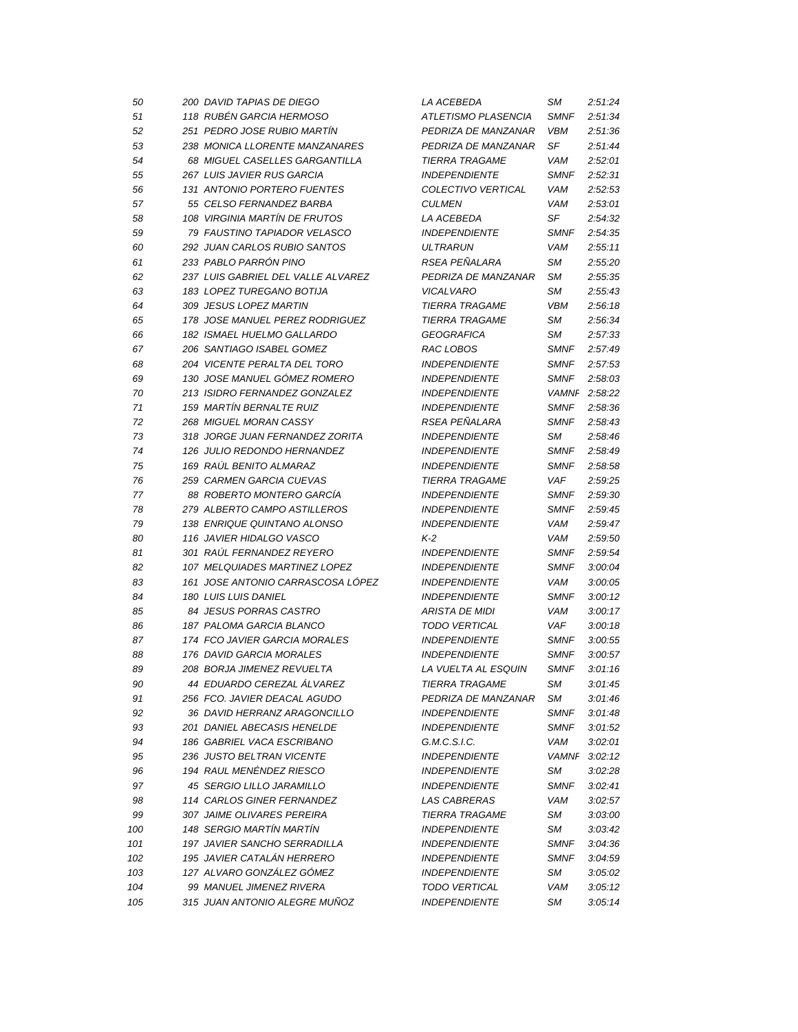| 50  | 200 DAVID TAPIAS DE DIEGO                                          | <i>LA ACEBEDA</i>                            | SМ           | 2:51:24 |
|-----|--------------------------------------------------------------------|----------------------------------------------|--------------|---------|
| 51  | 118 RUBÉN GARCIA HERMOSO                                           | ATLETISMO PLASENCIA                          | <b>SMNF</b>  | 2:51:34 |
| 52  | 251 PEDRO JOSE RUBIO MARTÍN                                        | PEDRIZA DE MANZANAR                          | <b>VBM</b>   | 2:51:36 |
| 53  | 238 MONICA LLORENTE MANZANARES                                     | PEDRIZA DE MANZANAR                          | SF           | 2:51:44 |
| 54  | 68 MIGUEL CASELLES GARGANTILLA                                     | <b>TIERRA TRAGAME</b>                        | VAM          | 2:52:01 |
| 55  | 267 LUIS JAVIER RUS GARCIA                                         | <b>INDEPENDIENTE</b>                         | <b>SMNF</b>  | 2:52:31 |
| 56  | 131 ANTONIO PORTERO FUENTES                                        | COLECTIVO VERTICAL                           | VAM          | 2:52:53 |
| 57  | 55 CELSO FERNANDEZ BARBA                                           | <b>CULMEN</b>                                | VAM          | 2:53:01 |
| 58  | 108 VIRGINIA MARTÍN DE FRUTOS                                      | LA ACEBEDA                                   | SF           | 2:54:32 |
| 59  | 79 FAUSTINO TAPIADOR VELASCO                                       | <b>INDEPENDIENTE</b>                         | <b>SMNF</b>  | 2:54:35 |
| 60  | 292 JUAN CARLOS RUBIO SANTOS                                       | <b>ULTRARUN</b>                              | <b>VAM</b>   | 2:55:11 |
| 61  | 233 PABLO PARRÓN PINO                                              | RSEA PEÑALARA                                | SМ           | 2:55:20 |
| 62  | 237 LUIS GABRIEL DEL VALLE ALVAREZ                                 | PEDRIZA DE MANZANAR                          | SМ           | 2:55:35 |
| 63  | 183 LOPEZ TUREGANO BOTIJA                                          | <b>VICALVARO</b>                             | SМ           | 2:55:43 |
| 64  | 309 JESUS LOPEZ MARTIN                                             | <b>TIERRA TRAGAME</b>                        | <b>VBM</b>   | 2:56:18 |
| 65  | 178 JOSE MANUEL PEREZ RODRIGUEZ                                    | <b>TIERRA TRAGAME</b>                        | SМ           | 2:56:34 |
| 66  | 182 ISMAEL HUELMO GALLARDO                                         | <b>GEOGRAFICA</b>                            | SМ           | 2:57:33 |
| 67  | 206 SANTIAGO ISABEL GOMEZ                                          | RAC LOBOS                                    | <b>SMNF</b>  | 2:57:49 |
| 68  | 204 VICENTE PERALTA DEL TORO                                       | <b>INDEPENDIENTE</b>                         | <b>SMNF</b>  | 2:57:53 |
| 69  | 130 JOSE MANUEL GÓMEZ ROMERO                                       | <b>INDEPENDIENTE</b>                         | <b>SMNF</b>  | 2:58:03 |
| 70  | 213 ISIDRO FERNANDEZ GONZALEZ                                      | <b>INDEPENDIENTE</b>                         | <b>VAMNF</b> | 2:58:22 |
| 71  | 159 MARTÍN BERNALTE RUIZ                                           | <b>INDEPENDIENTE</b>                         | <b>SMNF</b>  | 2:58:36 |
| 72  | 268 MIGUEL MORAN CASSY                                             | RSEA PEÑALARA                                | <b>SMNF</b>  | 2:58:43 |
| 73  | 318 JORGE JUAN FERNANDEZ ZORITA                                    | <b>INDEPENDIENTE</b>                         | SМ           | 2:58:46 |
| 74  | 126 JULIO REDONDO HERNANDEZ                                        | <b>INDEPENDIENTE</b>                         | <b>SMNF</b>  | 2:58:49 |
| 75  | 169 RAUL BENITO ALMARAZ                                            | <b>INDEPENDIENTE</b>                         | <b>SMNF</b>  | 2:58:58 |
| 76  | 259 CARMEN GARCIA CUEVAS                                           | <b>TIERRA TRAGAME</b>                        | VAF          | 2:59:25 |
| 77  | 88 ROBERTO MONTERO GARCIA                                          | <b>INDEPENDIENTE</b>                         | <b>SMNF</b>  | 2:59:30 |
| 78  | 279 ALBERTO CAMPO ASTILLEROS                                       | <b>INDEPENDIENTE</b>                         | <b>SMNF</b>  | 2:59:45 |
| 79  | 138 ENRIQUE QUINTANO ALONSO                                        | <b>INDEPENDIENTE</b>                         | VAM          | 2:59:47 |
| 80  | 116 JAVIER HIDALGO VASCO                                           | K-2                                          | <b>VAM</b>   | 2:59:50 |
| 81  | 301 RAÚL FERNANDEZ REYERO                                          | <b>INDEPENDIENTE</b>                         | <b>SMNF</b>  | 2:59:54 |
|     |                                                                    |                                              |              |         |
| 82  | 107 MELQUIADES MARTINEZ LOPEZ<br>161 JOSE ANTONIO CARRASCOSA LÓPEZ | <b>INDEPENDIENTE</b><br><b>INDEPENDIENTE</b> | <b>SMNF</b>  | 3:00:04 |
| 83  |                                                                    |                                              | VAM          | 3:00:05 |
| 84  | <b>180 LUIS LUIS DANIEL</b>                                        | <b>INDEPENDIENTE</b>                         | <b>SMNF</b>  | 3:00:12 |
| 85  | 84 JESUS PORRAS CASTRO                                             | <b>ARISTA DE MIDI</b>                        | VAM          | 3:00:17 |
| 86  | 187 PALOMA GARCIA BLANCO                                           | <b>TODO VERTICAL</b>                         | <b>VAF</b>   | 3:00:18 |
| 87  | 174 FCO JAVIER GARCIA MORALES                                      | <b>INDEPENDIENTE</b>                         | <b>SMNF</b>  | 3:00:55 |
| 88  | 176 DAVID GARCIA MORALES                                           | <b>INDEPENDIENTE</b>                         | <b>SMNF</b>  | 3:00:57 |
| 89  | 208 BORJA JIMENEZ REVUELTA                                         | LA VUELTA AL ESQUIN                          | <b>SMNF</b>  | 3:01:16 |
| 90  | 44 EDUARDO CEREZAL ÁLVAREZ                                         | <b>TIERRA TRAGAME</b>                        | SМ           | 3:01:45 |
| 91  | 256 FCO. JAVIER DEACAL AGUDO                                       | PEDRIZA DE MANZANAR                          | SМ           | 3:01:46 |
| 92  | 36 DAVID HERRANZ ARAGONCILLO                                       | <b>INDEPENDIENTE</b>                         | <b>SMNF</b>  | 3:01:48 |
| 93  | 201 DANIEL ABECASIS HENELDE                                        | <b>INDEPENDIENTE</b>                         | <b>SMNF</b>  | 3:01:52 |
| 94  | 186 GABRIEL VACA ESCRIBANO                                         | G.M.C.S.I.C.                                 | VAM          | 3:02:01 |
| 95  | 236 JUSTO BELTRAN VICENTE                                          | <b>INDEPENDIENTE</b>                         | <b>VAMNF</b> | 3:02:12 |
| 96  | 194 RAUL MENENDEZ RIESCO                                           | <b>INDEPENDIENTE</b>                         | SМ           | 3:02:28 |
| 97  | 45 SERGIO LILLO JARAMILLO                                          | <b>INDEPENDIENTE</b>                         | <b>SMNF</b>  | 3:02:41 |
| 98  | 114 CARLOS GINER FERNANDEZ                                         | <b>LAS CABRERAS</b>                          | VAM          | 3:02:57 |
| 99  | 307 JAIME OLIVARES PEREIRA                                         | <b>TIERRA TRAGAME</b>                        | SМ           | 3:03:00 |
| 100 | 148 SERGIO MARTÍN MARTÍN                                           | <b>INDEPENDIENTE</b>                         | SМ           | 3:03:42 |
| 101 | 197 JAVIER SANCHO SERRADILLA                                       | <b>INDEPENDIENTE</b>                         | <b>SMNF</b>  | 3:04:36 |
| 102 | 195 JAVIER CATALÁN HERRERO                                         | <b>INDEPENDIENTE</b>                         | <b>SMNF</b>  | 3:04:59 |
| 103 | 127 ALVARO GONZÁLEZ GÓMEZ                                          | <b>INDEPENDIENTE</b>                         | SМ           | 3:05:02 |
| 104 | 99 MANUEL JIMENEZ RIVERA                                           | <b>TODO VERTICAL</b>                         | VAM          | 3:05:12 |
| 105 | 315 JUAN ANTONIO ALEGRE MUÑOZ                                      | <b>INDEPENDIENTE</b>                         | SМ           | 3:05:14 |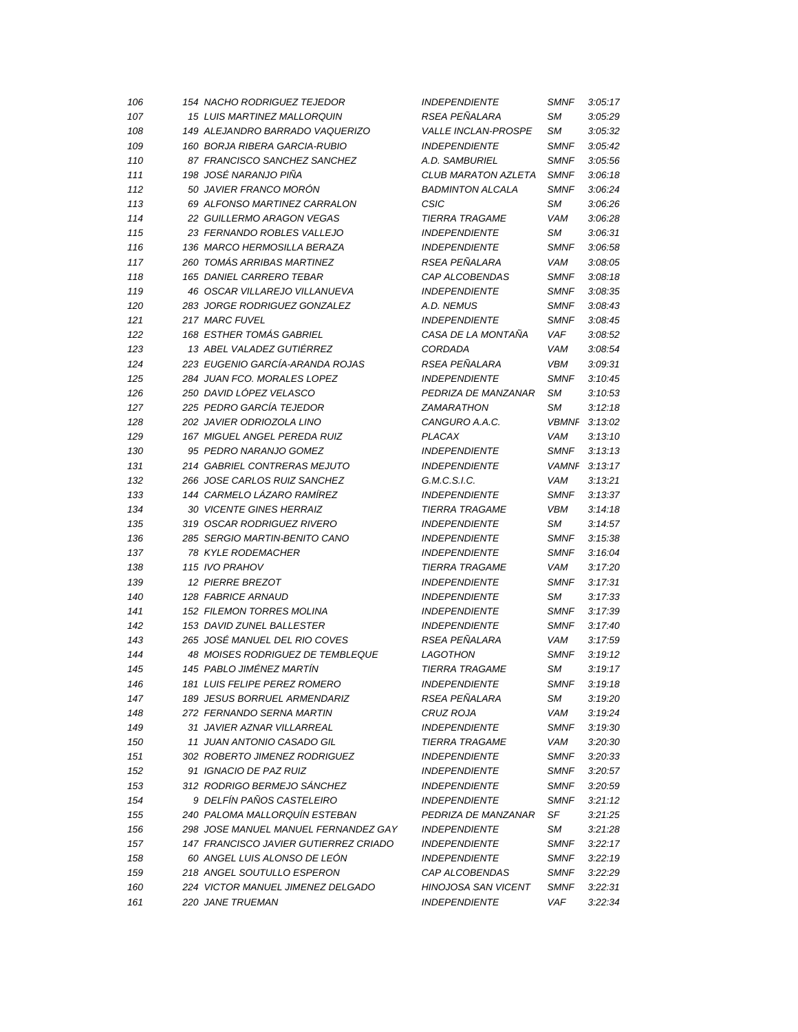| 106 | 154 NACHO RODRIGUEZ TEJEDOR             | <b>INDEPENDIENTE</b>       | <b>SMNF</b>               | 3:05:17 |
|-----|-----------------------------------------|----------------------------|---------------------------|---------|
| 107 | 15 LUIS MARTINEZ MALLORQUIN             | RSEA PEÑALARA              | SМ                        | 3:05:29 |
| 108 | 149 ALEJANDRO BARRADO VAQUERIZO         | <b>VALLE INCLAN-PROSPE</b> | SМ                        | 3:05:32 |
| 109 | 160 BORJA RIBERA GARCIA-RUBIO           | <b>INDEPENDIENTE</b>       | <b>SMNF</b>               | 3:05:42 |
| 110 | 87 FRANCISCO SANCHEZ SANCHEZ            | A.D. SAMBURIEL             | <b>SMNF</b>               | 3:05:56 |
| 111 | 198  JOSÉ NARANJO PIÑA                  | CLUB MARATON AZLETA        | <b>SMNF</b>               | 3:06:18 |
| 112 | 50 JAVIER FRANCO MORÓN                  | <b>BADMINTON ALCALA</b>    | <b>SMNF</b>               | 3:06:24 |
| 113 | 69 ALFONSO MARTINEZ CARRALON            | <b>CSIC</b>                | SМ                        | 3:06:26 |
| 114 | 22 GUILLERMO ARAGON VEGAS               | <b>TIERRA TRAGAME</b>      | VAM                       | 3:06:28 |
| 115 | 23 FERNANDO ROBLES VALLEJO              | <b>INDEPENDIENTE</b>       | SМ                        | 3:06:31 |
| 116 | 136 MARCO HERMOSILLA BERAZA             | <b>INDEPENDIENTE</b>       | <b>SMNF</b>               | 3:06:58 |
| 117 | 260 TOMÁS ARRIBAS MARTINEZ              | RSEA PEÑALARA              | VAM                       | 3:08:05 |
| 118 | 165 DANIEL CARRERO TEBAR                | CAP ALCOBENDAS             | <b>SMNF</b>               | 3:08:18 |
| 119 | 46 OSCAR VILLAREJO VILLANUEVA           | <b>INDEPENDIENTE</b>       | <b>SMNF</b>               | 3:08:35 |
| 120 | 283 JORGE RODRIGUEZ GONZALEZ            | A.D. NEMUS                 | <b>SMNF</b>               | 3:08:43 |
| 121 | 217 MARC FUVEL                          | <b>INDEPENDIENTE</b>       | <b>SMNF</b>               | 3:08:45 |
| 122 | <b>168 ESTHER TOMÁS GABRIEL</b>         | CASA DE LA MONTANA         | <b>VAF</b>                | 3:08:52 |
| 123 | 13 ABEL VALADEZ GUTIÉRREZ               | CORDADA                    | <b>VAM</b>                | 3:08:54 |
| 124 | 223 EUGENIO GARCÍA-ARANDA ROJAS         | RSEA PEÑALARA              | <b>VBM</b>                | 3:09:31 |
| 125 | 284 JUAN FCO. MORALES LOPEZ             | <b>INDEPENDIENTE</b>       | <b>SMNF</b>               | 3:10:45 |
| 126 | 250 DAVID LÓPEZ VELASCO                 | PEDRIZA DE MANZANAR        | SМ                        | 3:10:53 |
| 127 | 225 PEDRO GARCÍA TEJEDOR                | <b>ZAMARATHON</b>          | SМ                        | 3:12:18 |
| 128 | 202 JAVIER ODRIOZOLA LINO               | CANGURO A.A.C.             | <b>VBMNF</b>              | 3:13:02 |
| 129 | 167 MIGUEL ANGEL PEREDA RUIZ            | <b>PLACAX</b>              | <b>VAM</b>                | 3:13:10 |
| 130 | 95 PEDRO NARANJO GOMEZ                  | <b>INDEPENDIENTE</b>       | <b>SMNF</b>               | 3:13:13 |
| 131 | 214 GABRIEL CONTRERAS MEJUTO            | <b>INDEPENDIENTE</b>       | <b>VAMNF</b>              | 3:13:17 |
| 132 | 266 JOSE CARLOS RUIZ SANCHEZ            | G.M.C.S.I.C.               | VAM                       | 3:13:21 |
| 133 | 144 CARMELO LÁZARO RAMÍREZ              | <b>INDEPENDIENTE</b>       | <b>SMNF</b>               | 3:13:37 |
| 134 | 30 VICENTE GINES HERRAIZ                | <b>TIERRA TRAGAME</b>      | <b>VBM</b>                | 3:14:18 |
| 135 | 319 OSCAR RODRIGUEZ RIVERO              | <b>INDEPENDIENTE</b>       | SМ                        | 3:14:57 |
| 136 | 285 SERGIO MARTIN-BENITO CANO           | <b>INDEPENDIENTE</b>       | <b>SMNF</b>               | 3:15:38 |
|     | 78 KYLE RODEMACHER                      | <b>INDEPENDIENTE</b>       |                           | 3:16:04 |
| 137 |                                         | <b>TIERRA TRAGAME</b>      | <b>SMNF</b><br><b>VAM</b> | 3:17:20 |
| 138 | 115 IVO PRAHOV<br>12 PIERRE BREZOT      | <b>INDEPENDIENTE</b>       | <b>SMNF</b>               | 3:17:31 |
| 139 |                                         |                            |                           |         |
| 140 | 128 FABRICE ARNAUD                      | <b>INDEPENDIENTE</b>       | SМ                        | 3:17:33 |
| 141 | <b>152 FILEMON TORRES MOLINA</b>        | <b>INDEPENDIENTE</b>       | <b>SMNF</b>               | 3:17:39 |
| 142 | 153 DAVID ZUNEL BALLESTER               | <b>INDEPENDIENTE</b>       | <b>SMNF</b>               | 3:17:40 |
| 143 | 265 JOSÉ MANUEL DEL RIO COVES           | RSEA PEÑALARA              | VAM                       | 3:17:59 |
| 144 | <b>48 MOISES RODRIGUEZ DE TEMBLEQUE</b> | <b>LAGOTHON</b>            | <b>SMNF</b>               | 3:19:12 |
| 145 | 145 PABLO JIMÉNEZ MARTÍN                | <b>TIERRA TRAGAME</b>      | SМ                        | 3:19:17 |
| 146 | <b>181 LUIS FELIPE PEREZ ROMERO</b>     | <b>INDEPENDIENTE</b>       | <b>SMNF</b>               | 3:19:18 |
| 147 | 189 JESUS BORRUEL ARMENDARIZ            | <b>RSEA PENALARA</b>       | SМ                        | 3:19:20 |
| 148 | 272 FERNANDO SERNA MARTIN               | CRUZ ROJA                  | VAM                       | 3:19:24 |
| 149 | 31 JAVIER AZNAR VILLARREAL              | <b>INDEPENDIENTE</b>       | <b>SMNF</b>               | 3:19:30 |
| 150 | 11 JUAN ANTONIO CASADO GIL              | <b>TIERRA TRAGAME</b>      | VAM                       | 3:20:30 |
| 151 | 302 ROBERTO JIMENEZ RODRIGUEZ           | <b>INDEPENDIENTE</b>       | <b>SMNF</b>               | 3:20:33 |
| 152 | 91 IGNACIO DE PAZ RUIZ                  | <b>INDEPENDIENTE</b>       | <b>SMNF</b>               | 3:20:57 |
| 153 | 312 RODRIGO BERMEJO SÁNCHEZ             | <b>INDEPENDIENTE</b>       | <b>SMNF</b>               | 3:20:59 |
| 154 | 9 DELFÍN PAÑOS CASTELEIRO               | <b>INDEPENDIENTE</b>       | <b>SMNF</b>               | 3:21:12 |
| 155 | 240 PALOMA MALLORQUÍN ESTEBAN           | PEDRIZA DE MANZANAR        | SF                        | 3:21:25 |
| 156 | 298 JOSE MANUEL MANUEL FERNANDEZ GAY    | <b>INDEPENDIENTE</b>       | SМ                        | 3:21:28 |
| 157 | 147 FRANCISCO JAVIER GUTIERREZ CRIADO   | <b>INDEPENDIENTE</b>       | <b>SMNF</b>               | 3:22:17 |
| 158 | 60 ANGEL LUIS ALONSO DE LEÓN            | <b>INDEPENDIENTE</b>       | <b>SMNF</b>               | 3:22:19 |
| 159 | 218 ANGEL SOUTULLO ESPERON              | CAP ALCOBENDAS             | <b>SMNF</b>               | 3:22:29 |
| 160 | 224 VICTOR MANUEL JIMENEZ DELGADO       | <b>HINOJOSA SAN VICENT</b> | <b>SMNF</b>               | 3:22:31 |
| 161 | 220 JANE TRUEMAN                        | <b>INDEPENDIENTE</b>       | VAF                       | 3:22:34 |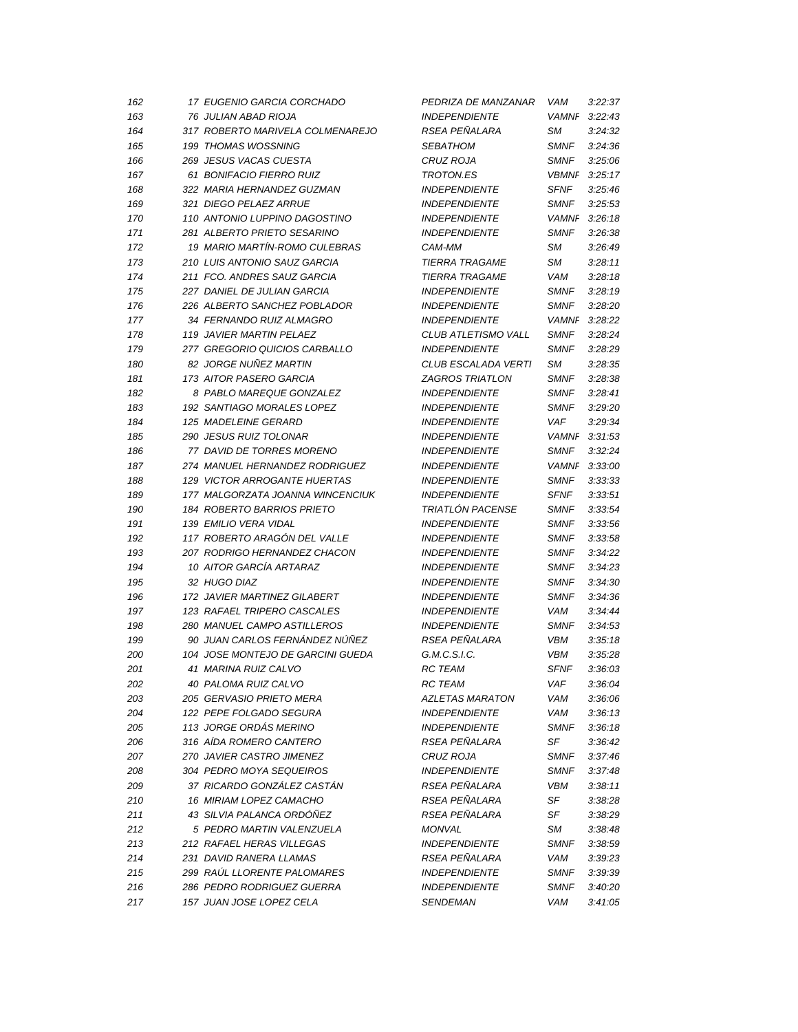| 162 | 17 EUGENIO GARCIA CORCHADO        | PEDRIZA DE MANZANAR     | VAM          | 3:22:37 |
|-----|-----------------------------------|-------------------------|--------------|---------|
| 163 | 76 JULIAN ABAD RIOJA              | <b>INDEPENDIENTE</b>    | <b>VAMNF</b> | 3:22:43 |
| 164 | 317 ROBERTO MARIVELA COLMENAREJO  | RSEA PEÑALARA           | SМ           | 3:24:32 |
| 165 | 199 THOMAS WOSSNING               | <b>SEBATHOM</b>         | <b>SMNF</b>  | 3:24:36 |
| 166 | 269 JESUS VACAS CUESTA            | CRUZ ROJA               | <b>SMNF</b>  | 3:25:06 |
| 167 | 61 BONIFACIO FIERRO RUIZ          | <b>TROTON.ES</b>        | <b>VBMNI</b> | 3:25:17 |
| 168 | 322 MARIA HERNANDEZ GUZMAN        | <b>INDEPENDIENTE</b>    | SFNF         | 3:25:46 |
| 169 | 321 DIEGO PELAEZ ARRUE            | <b>INDEPENDIENTE</b>    | <b>SMNF</b>  | 3:25:53 |
| 170 | 110 ANTONIO LUPPINO DAGOSTINO     | <b>INDEPENDIENTE</b>    | <b>VAMNF</b> | 3:26:18 |
| 171 | 281 ALBERTO PRIETO SESARINO       | <b>INDEPENDIENTE</b>    | <b>SMNF</b>  | 3:26:38 |
| 172 | 19 MARIO MARTÍN-ROMO CULEBRAS     | CAM-MM                  | SМ           | 3:26:49 |
| 173 | 210 LUIS ANTONIO SAUZ GARCIA      | <b>TIERRA TRAGAME</b>   | SМ           | 3:28:11 |
| 174 | 211 FCO. ANDRES SAUZ GARCIA       | <b>TIERRA TRAGAME</b>   | <b>VAM</b>   | 3:28:18 |
| 175 | 227 DANIEL DE JULIAN GARCIA       | <b>INDEPENDIENTE</b>    | <b>SMNF</b>  | 3:28:19 |
| 176 | 226 ALBERTO SANCHEZ POBLADOR      | <b>INDEPENDIENTE</b>    | <b>SMNF</b>  | 3:28:20 |
| 177 | 34 FERNANDO RUIZ ALMAGRO          | <b>INDEPENDIENTE</b>    | <b>VAMNF</b> | 3:28:22 |
| 178 | 119 JAVIER MARTIN PELAEZ          | CLUB ATLETISMO VALL     | <b>SMNF</b>  | 3:28:24 |
| 179 | 277 GREGORIO QUICIOS CARBALLO     | <b>INDEPENDIENTE</b>    | <b>SMNF</b>  | 3:28:29 |
| 180 | 82 JORGE NUÑEZ MARTIN             | CLUB ESCALADA VERTI     | SМ           | 3:28:35 |
| 181 | 173 AITOR PASERO GARCIA           | <b>ZAGROS TRIATLON</b>  | <b>SMNF</b>  | 3:28:38 |
| 182 | 8 PABLO MAREQUE GONZALEZ          | <b>INDEPENDIENTE</b>    | <b>SMNF</b>  | 3:28:41 |
| 183 | 192 SANTIAGO MORALES LOPEZ        | <b>INDEPENDIENTE</b>    | <b>SMNF</b>  | 3:29:20 |
| 184 | 125 MADELEINE GERARD              | <b>INDEPENDIENTE</b>    | VAF          | 3:29:34 |
| 185 | 290 JESUS RUIZ TOLONAR            | <b>INDEPENDIENTE</b>    | <b>VAMNF</b> | 3:31:53 |
| 186 | 77 DAVID DE TORRES MORENO         | <b>INDEPENDIENTE</b>    | <b>SMNF</b>  | 3:32:24 |
| 187 | 274 MANUEL HERNANDEZ RODRIGUEZ    | <b>INDEPENDIENTE</b>    | <b>VAMNF</b> | 3:33:00 |
| 188 | 129 VICTOR ARROGANTE HUERTAS      | <b>INDEPENDIENTE</b>    | <b>SMNF</b>  | 3:33:33 |
| 189 | 177 MALGORZATA JOANNA WINCENCIUK  | <b>INDEPENDIENTE</b>    | <b>SFNF</b>  | 3:33:51 |
| 190 | 184 ROBERTO BARRIOS PRIETO        | <b>TRIATLÓN PACENSE</b> | <b>SMNF</b>  | 3:33:54 |
| 191 | 139 EMILIO VERA VIDAL             | <b>INDEPENDIENTE</b>    | <b>SMNF</b>  | 3:33:56 |
| 192 | 117 ROBERTO ARAGÓN DEL VALLE      | <b>INDEPENDIENTE</b>    | <b>SMNF</b>  | 3:33:58 |
| 193 | 207 RODRIGO HERNANDEZ CHACON      | <b>INDEPENDIENTE</b>    | <b>SMNF</b>  | 3:34:22 |
| 194 | 10 AITOR GARCÍA ARTARAZ           | <b>INDEPENDIENTE</b>    | <b>SMNF</b>  | 3:34:23 |
| 195 | 32 HUGO DIAZ                      | <b>INDEPENDIENTE</b>    | <b>SMNF</b>  | 3:34:30 |
| 196 | 172 JAVIER MARTINEZ GILABERT      | <b>INDEPENDIENTE</b>    | <b>SMNF</b>  | 3:34:36 |
| 197 | 123 RAFAEL TRIPERO CASCALES       | <b>INDEPENDIENTE</b>    | VAM          | 3:34:44 |
| 198 | 280 MANUEL CAMPO ASTILLEROS       | <b>INDEPENDIENTE</b>    | <b>SMNF</b>  | 3:34:53 |
| 199 | 90 JUAN CARLOS FERNÁNDEZ NÚÑEZ    | RSEA PEÑALARA           | VBM          | 3:35:18 |
| 200 | 104 JOSE MONTEJO DE GARCINI GUEDA | G.M.C.S.I.C.            | VBM          | 3:35.28 |
| 201 | 41 MARINA RUIZ CALVO              | <b>RC TEAM</b>          | <b>SFNF</b>  | 3:36:03 |
| 202 | 40 PALOMA RUIZ CALVO              | <b>RC TEAM</b>          | VAF          | 3:36:04 |
| 203 | 205 GERVASIO PRIETO MERA          | <b>AZLETAS MARATON</b>  | VAM          | 3:36:06 |
| 204 | 122 PEPE FOLGADO SEGURA           | <b>INDEPENDIENTE</b>    | VAM          | 3:36:13 |
| 205 | <b>113 JORGE ORDÁS MERINO</b>     | <b>INDEPENDIENTE</b>    | <b>SMNF</b>  | 3:36:18 |
| 206 | 316 AÍDA ROMERO CANTERO           | RSEA PEÑALARA           | SF           | 3:36:42 |
| 207 | 270 JAVIER CASTRO JIMENEZ         | CRUZ ROJA               | <b>SMNF</b>  | 3:37:46 |
| 208 | 304 PEDRO MOYA SEQUEIROS          | <b>INDEPENDIENTE</b>    | SMNF         | 3:37:48 |
| 209 | 37 RICARDO GONZÁLEZ CASTÁN        | RSEA PEÑALARA           | VBM          | 3:38:11 |
| 210 | 16 MIRIAM LOPEZ CAMACHO           | RSEA PEÑALARA           | SF           | 3:38:28 |
| 211 | 43 SILVIA PALANCA ORDÓÑEZ         | RSEA PEÑALARA           | SF           | 3:38:29 |
| 212 | 5 PEDRO MARTIN VALENZUELA         | <b>MONVAL</b>           | SМ           | 3:38:48 |
| 213 | 212 RAFAEL HERAS VILLEGAS         | <b>INDEPENDIENTE</b>    | <b>SMNF</b>  | 3:38:59 |
| 214 | 231 DAVID RANERA LLAMAS           | RSEA PEÑALARA           | VAM          | 3:39:23 |
| 215 | 299 RAÚL LLORENTE PALOMARES       | <b>INDEPENDIENTE</b>    | SMNF         | 3:39:39 |
| 216 | 286 PEDRO RODRIGUEZ GUERRA        | <b>INDEPENDIENTE</b>    | <b>SMNF</b>  | 3:40:20 |
| 217 | 157 JUAN JOSE LOPEZ CELA          | <b>SENDEMAN</b>         | VAM          | 3:41:05 |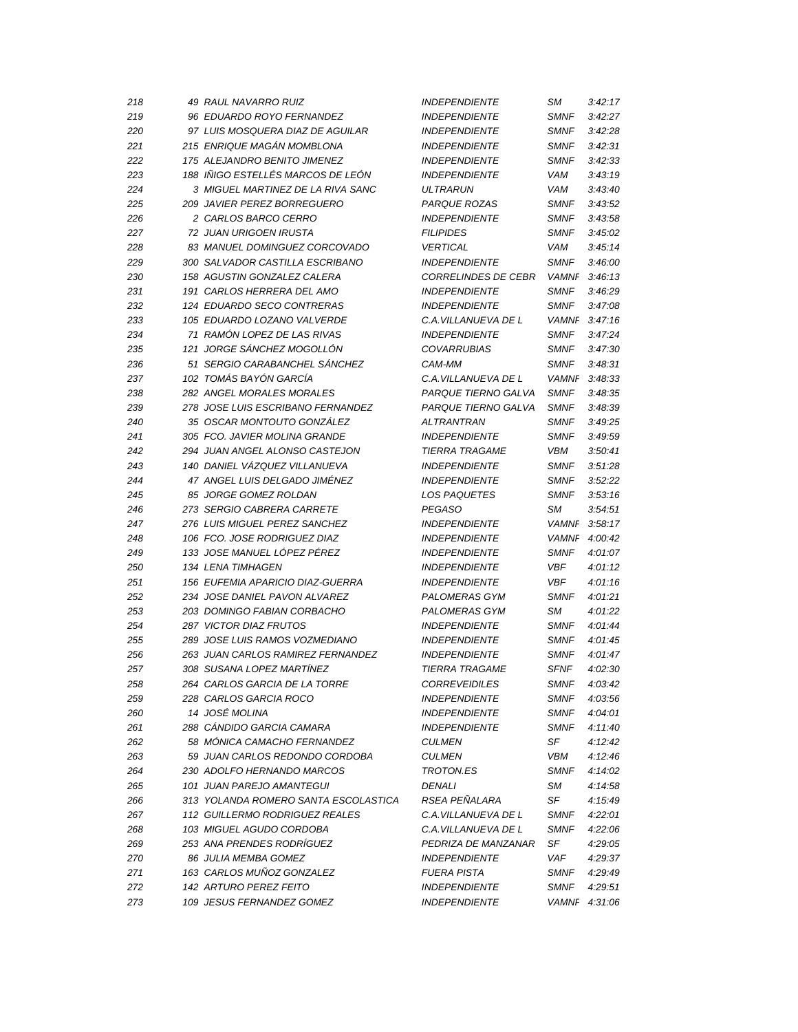| 218        | 49 RAUL NAVARRO RUIZ                                | <b>INDEPENDIENTE</b>                         | SМ                   | 3:42:17            |
|------------|-----------------------------------------------------|----------------------------------------------|----------------------|--------------------|
| 219        | 96 EDUARDO ROYO FERNANDEZ                           | <b>INDEPENDIENTE</b>                         | <b>SMNF</b>          | 3:42:27            |
| 220        | 97 LUIS MOSQUERA DIAZ DE AGUILAR                    | <b>INDEPENDIENTE</b>                         | <b>SMNF</b>          | 3:42:28            |
| 221        | 215 ENRIQUE MAGÁN MOMBLONA                          | <b>INDEPENDIENTE</b>                         | <b>SMNF</b>          | 3:42:31            |
| 222        | 175 ALEJANDRO BENITO JIMENEZ                        | <b>INDEPENDIENTE</b>                         | <b>SMNF</b>          | 3:42:33            |
| 223        | 188 IÑIGO ESTELLÉS MARCOS DE LEÓN                   | <b>INDEPENDIENTE</b>                         | VAM                  | 3:43:19            |
| 224        | 3 MIGUEL MARTINEZ DE LA RIVA SANC                   | <b>ULTRARUN</b>                              | VAM                  | 3:43:40            |
| 225        | 209 JAVIER PEREZ BORREGUERO                         | PARQUE ROZAS                                 | <b>SMNF</b>          | 3:43:52            |
| 226        | 2 CARLOS BARCO CERRO                                | <b>INDEPENDIENTE</b>                         | <b>SMNF</b>          | 3:43:58            |
| 227        | 72 JUAN URIGOEN IRUSTA                              | <b>FILIPIDES</b>                             | <b>SMNF</b>          | 3.45.02            |
| 228        | 83 MANUEL DOMINGUEZ CORCOVADO                       | <b>VERTICAL</b>                              | <b>VAM</b>           | 3:45:14            |
| 229        | 300 SALVADOR CASTILLA ESCRIBANO                     | <b>INDEPENDIENTE</b>                         | <b>SMNF</b>          | 3:46:00            |
| 230        | 158 AGUSTIN GONZALEZ CALERA                         | <b>CORRELINDES DE CEBR</b>                   | <b>VAMNF</b>         | 3.46.13            |
| 231        | 191 CARLOS HERRERA DEL AMO                          | <b>INDEPENDIENTE</b>                         | <b>SMNF</b>          | 3:46:29            |
| 232        | 124 EDUARDO SECO CONTRERAS                          | <b>INDEPENDIENTE</b>                         | <b>SMNF</b>          | 3:47:08            |
| 233        | 105 EDUARDO LOZANO VALVERDE                         | C.A. VILLANUEVA DE L                         | <b>VAMNF</b>         | 3:47:16            |
| 234        | 71 RAMÓN LOPEZ DE LAS RIVAS                         | <b>INDEPENDIENTE</b>                         | <b>SMNF</b>          | 3.47.24            |
| 235        | 121 JORGE SÁNCHEZ MOGOLLÓN                          | <b>COVARRUBIAS</b>                           | <b>SMNF</b>          | 3:47:30            |
| 236        | 51 SERGIO CARABANCHEL SÁNCHEZ                       | CAM-MM                                       | <b>SMNF</b>          | 3:48:31            |
| 237        | 102 TOMÁS BAYÓN GARCÍA                              | C.A. VILLANUEVA DE L                         | <b>VAMNF</b>         | 3:48:33            |
| 238        | 282 ANGEL MORALES MORALES                           | PARQUE TIERNO GALVA                          | <b>SMNF</b>          | 3:48:35            |
| 239        | 278 JOSE LUIS ESCRIBANO FERNANDEZ                   | PARQUE TIERNO GALVA                          | <b>SMNF</b>          | 3:48:39            |
| 240        | 35 OSCAR MONTOUTO GONZÁLEZ                          | ALTRANTRAN                                   | <b>SMNF</b>          | 3:49:25            |
| 241        | 305 FCO. JAVIER MOLINA GRANDE                       | <b>INDEPENDIENTE</b>                         | <b>SMNF</b>          | 3:49:59            |
| 242        | 294 JUAN ANGEL ALONSO CASTEJON                      | TIERRA TRAGAME                               | <b>VBM</b>           | 3:50:41            |
| 243        | 140 DANIEL VÁZQUEZ VILLANUEVA                       | <b>INDEPENDIENTE</b>                         | <b>SMNF</b>          | 3:51:28            |
| 244        | 47 ANGEL LUIS DELGADO JIMÉNEZ                       | <b>INDEPENDIENTE</b>                         | <b>SMNF</b>          | 3:52:22            |
| 245        | 85 JORGE GOMEZ ROLDAN                               | <b>LOS PAQUETES</b>                          | <b>SMNF</b>          | 3:53:16            |
| 246        | 273 SERGIO CABRERA CARRETE                          | <b>PEGASO</b>                                | SМ                   | 3:54:51            |
| 247        | 276 LUIS MIGUEL PEREZ SANCHEZ                       | <b>INDEPENDIENTE</b>                         | <b>VAMNF</b>         | 3:58:17            |
| 248        | 106 FCO. JOSE RODRIGUEZ DIAZ                        |                                              | <b>VAMNF</b>         | 4:00:42            |
|            |                                                     |                                              |                      |                    |
|            |                                                     | <b>INDEPENDIENTE</b>                         |                      |                    |
| 249        | 133 JOSE MANUEL LÓPEZ PÉREZ                         | <b>INDEPENDIENTE</b>                         | <b>SMNF</b>          | 4:01:07            |
| 250        | 134 LENA TIMHAGEN                                   | <b>INDEPENDIENTE</b>                         | <b>VBF</b>           | 4:01:12            |
| 251        | 156 EUFEMIA APARICIO DIAZ-GUERRA                    | <b>INDEPENDIENTE</b>                         | <b>VBF</b>           | 4:01:16            |
| 252        | 234 JOSE DANIEL PAVON ALVAREZ                       | PALOMERAS GYM                                | <b>SMNF</b>          | 4:01:21            |
| 253        | 203 DOMINGO FABIAN CORBACHO                         | PALOMERAS GYM                                | SМ                   | 4:01:22            |
| 254        | 287 VICTOR DIAZ FRUTOS                              | <b>INDEPENDIENTE</b>                         | <b>SMNF</b>          | 4:01:44            |
| 255        | 289 JOSE LUIS RAMOS VOZMEDIANO                      | <b>INDEPENDIENTE</b>                         | <b>SMNF</b>          | 4:01:45            |
| 256        | 263 JUAN CARLOS RAMIREZ FERNANDEZ                   | <b>INDEPENDIENTE</b>                         | <b>SMNF</b>          | 4:01:47            |
| 257        | 308 SUSANA LOPEZ MARTÍNEZ                           | <b>TIERRA TRAGAME</b>                        | <b>SFNF</b>          | 4:02:30            |
| 258        | 264 CARLOS GARCIA DE LA TORRE                       | <b>CORREVEIDILES</b>                         | <b>SMNF</b>          | 4:03:42            |
| 259        | 228 CARLOS GARCIA ROCO                              | <b>INDEPENDIENTE</b>                         | <b>SMNF</b>          | 4:03:56            |
| 260        | 14 JOSÉ MOLINA                                      | <b>INDEPENDIENTE</b>                         | <b>SMNF</b>          | 4:04:01            |
| 261        | 288 CÁNDIDO GARCIA CAMARA                           | <b>INDEPENDIENTE</b>                         | <b>SMNF</b>          | 4:11:40            |
| 262        | 58 MÓNICA CAMACHO FERNANDEZ                         | <b>CULMEN</b>                                | SF                   | 4:12:42            |
| 263        | 59 JUAN CARLOS REDONDO CORDOBA                      | <b>CULMEN</b>                                | VBM                  | 4:12:46            |
| 264        | 230 ADOLFO HERNANDO MARCOS                          | <b>TROTON.ES</b>                             | <b>SMNF</b>          | 4:14:02            |
| 265        | 101 JUAN PAREJO AMANTEGUI                           | DENALI                                       | SМ                   | 4:14:58            |
| 266        | 313 YOLANDA ROMERO SANTA ESCOLASTICA                | <b>RSEA PENALARA</b>                         | SF                   | 4:15:49            |
| 267        | 112 GUILLERMO RODRIGUEZ REALES                      | C.A. VILLANUEVA DE L                         | <b>SMNF</b>          | 4:22:01            |
| 268        | 103 MIGUEL AGUDO CORDOBA                            | C.A. VILLANUEVA DE L                         | <b>SMNF</b>          | 4:22:06            |
| 269        | 253 ANA PRENDES RODRÍGUEZ                           | PEDRIZA DE MANZANAR                          | SF                   | 4:29:05            |
| 270        | 86 JULIA MEMBA GOMEZ                                | <b>INDEPENDIENTE</b>                         | VAF                  | 4:29:37            |
| 271        | 163 CARLOS MUÑOZ GONZALEZ                           | <b>FUERA PISTA</b>                           | <b>SMNF</b>          | 4:29:49            |
| 272<br>273 | 142 ARTURO PEREZ FEITO<br>109 JESUS FERNANDEZ GOMEZ | <b>INDEPENDIENTE</b><br><b>INDEPENDIENTE</b> | <b>SMNF</b><br>VAMNF | 4:29:51<br>4:31:06 |